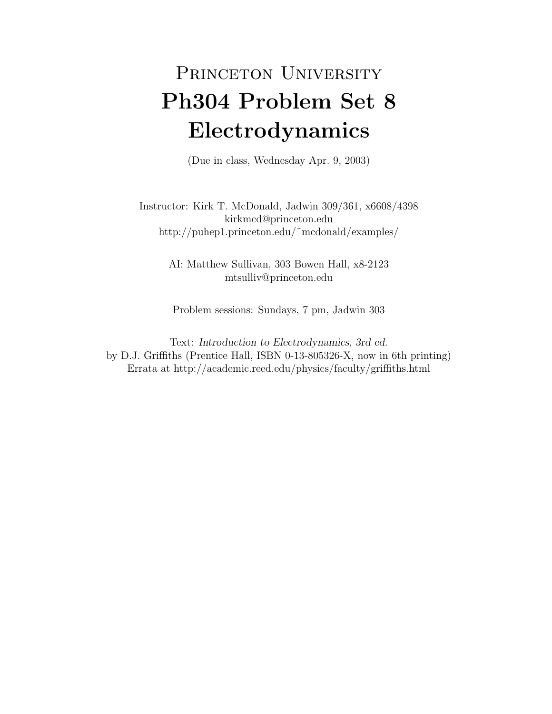## PRINCETON UNIVERSITY Ph304 Problem Set 8 Electrodynamics

(Due in class, Wednesday Apr. 9, 2003)

Instructor: Kirk T. McDonald, Jadwin 309/361, x6608/4398 kirkmcd@princeton.edu http://puhep1.princeton.edu/˜mcdonald/examples/

> AI: Matthew Sullivan, 303 Bowen Hall, x8-2123 mtsulliv@princeton.edu

Problem sessions: Sundays, 7 pm, Jadwin 303

Text: Introduction to Electrodynamics, 3rd ed. by D.J. Griffiths (Prentice Hall, ISBN 0-13-805326-X, now in 6th printing) Errata at http://academic.reed.edu/physics/faculty/griffiths.html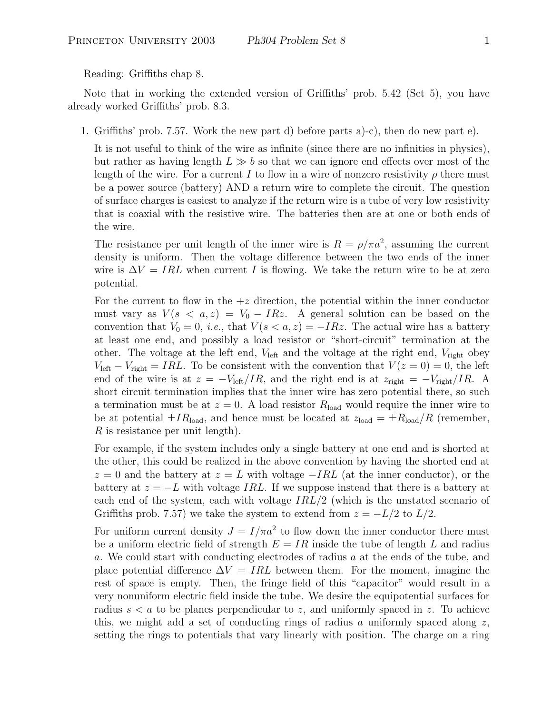Reading: Griffiths chap 8.

Note that in working the extended version of Griffiths' prob. 5.42 (Set 5), you have already worked Griffiths' prob. 8.3.

1. Griffiths' prob. 7.57. Work the new part d) before parts a)-c), then do new part e).

It is not useful to think of the wire as infinite (since there are no infinities in physics), but rather as having length  $L \gg b$  so that we can ignore end effects over most of the length of the wire. For a current I to flow in a wire of nonzero resistivity  $\rho$  there must be a power source (battery) AND a return wire to complete the circuit. The question of surface charges is easiest to analyze if the return wire is a tube of very low resistivity that is coaxial with the resistive wire. The batteries then are at one or both ends of the wire.

The resistance per unit length of the inner wire is  $R = \rho/\pi a^2$ , assuming the current density is uniform. Then the voltage difference between the two ends of the inner wire is  $\Delta V = IRL$  when current I is flowing. We take the return wire to be at zero potential.

For the current to flow in the  $+z$  direction, the potential within the inner conductor must vary as  $V(s \leq a, z) = V_0 - IRz$ . A general solution can be based on the convention that  $V_0 = 0$ , *i.e.*, that  $V(s < a, z) = -IRz$ . The actual wire has a battery at least one end, and possibly a load resistor or "short-circuit" termination at the other. The voltage at the left end,  $V_{\text{left}}$  and the voltage at the right end,  $V_{\text{right}}$  obey  $V_{\text{left}} - V_{\text{right}} = IRL$ . To be consistent with the convention that  $V(z = 0) = 0$ , the left end of the wire is at  $z = -V_{\text{left}}/IR$ , and the right end is at  $z_{\text{right}} = -V_{\text{right}}/IR$ . A short circuit termination implies that the inner wire has zero potential there, so such a termination must be at  $z = 0$ . A load resistor  $R_{load}$  would require the inner wire to be at potential  $\pm IR_{\text{load}}$ , and hence must be located at  $z_{\text{load}} = \pm R_{\text{load}}/R$  (remember, R is resistance per unit length).

For example, if the system includes only a single battery at one end and is shorted at the other, this could be realized in the above convention by having the shorted end at  $z = 0$  and the battery at  $z = L$  with voltage  $-IRL$  (at the inner conductor), or the battery at  $z = -L$  with voltage IRL. If we suppose instead that there is a battery at each end of the system, each with voltage IRL/2 (which is the unstated scenario of Griffiths prob. 7.57) we take the system to extend from  $z = -L/2$  to  $L/2$ .

For uniform current density  $J = I/\pi a^2$  to flow down the inner conductor there must be a uniform electric field of strength  $E = IR$  inside the tube of length L and radius a. We could start with conducting electrodes of radius a at the ends of the tube, and place potential difference  $\Delta V = IRL$  between them. For the moment, imagine the rest of space is empty. Then, the fringe field of this "capacitor" would result in a very nonuniform electric field inside the tube. We desire the equipotential surfaces for radius  $s < a$  to be planes perpendicular to z, and uniformly spaced in z. To achieve this, we might add a set of conducting rings of radius a uniformly spaced along  $z$ , setting the rings to potentials that vary linearly with position. The charge on a ring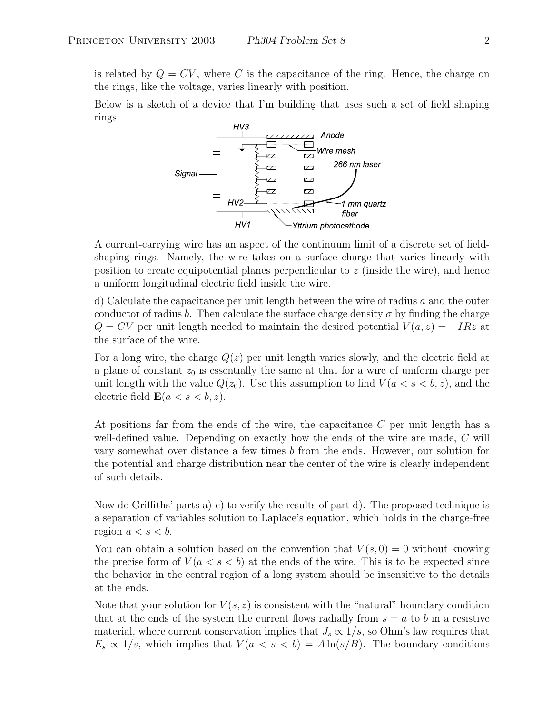is related by  $Q = CV$ , where C is the capacitance of the ring. Hence, the charge on the rings, like the voltage, varies linearly with position.

Below is a sketch of a device that I'm building that uses such a set of field shaping rings:



A current-carrying wire has an aspect of the continuum limit of a discrete set of fieldshaping rings. Namely, the wire takes on a surface charge that varies linearly with position to create equipotential planes perpendicular to z (inside the wire), and hence a uniform longitudinal electric field inside the wire.

d) Calculate the capacitance per unit length between the wire of radius a and the outer conductor of radius b. Then calculate the surface charge density  $\sigma$  by finding the charge  $Q = CV$  per unit length needed to maintain the desired potential  $V(a, z) = -IRz$  at the surface of the wire.

For a long wire, the charge  $Q(z)$  per unit length varies slowly, and the electric field at a plane of constant  $z_0$  is essentially the same at that for a wire of uniform charge per unit length with the value  $Q(z_0)$ . Use this assumption to find  $V(a < s < b, z)$ , and the electric field  $\mathbf{E}(a < s < b, z)$ .

At positions far from the ends of the wire, the capacitance C per unit length has a well-defined value. Depending on exactly how the ends of the wire are made, C will vary somewhat over distance a few times b from the ends. However, our solution for the potential and charge distribution near the center of the wire is clearly independent of such details.

Now do Griffiths' parts a)-c) to verify the results of part d). The proposed technique is a separation of variables solution to Laplace's equation, which holds in the charge-free region  $a < s < b$ .

You can obtain a solution based on the convention that  $V(s, 0) = 0$  without knowing the precise form of  $V(a < s < b)$  at the ends of the wire. This is to be expected since the behavior in the central region of a long system should be insensitive to the details at the ends.

Note that your solution for  $V(s, z)$  is consistent with the "natural" boundary condition that at the ends of the system the current flows radially from  $s = a$  to b in a resistive material, where current conservation implies that  $J_s \propto 1/s$ , so Ohm's law requires that  $E_s \propto 1/s$ , which implies that  $V(a < s < b) = A \ln(s/B)$ . The boundary conditions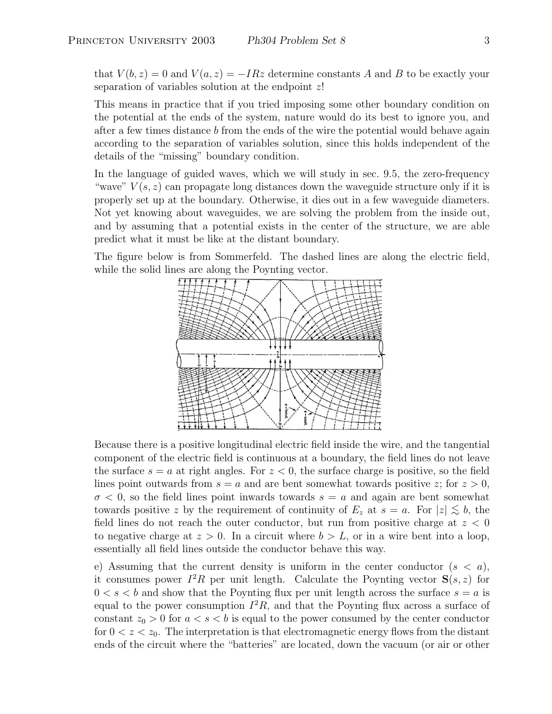that  $V(b, z) = 0$  and  $V(a, z) = -IRz$  determine constants A and B to be exactly your separation of variables solution at the endpoint  $z$ !

This means in practice that if you tried imposing some other boundary condition on the potential at the ends of the system, nature would do its best to ignore you, and after a few times distance b from the ends of the wire the potential would behave again according to the separation of variables solution, since this holds independent of the details of the "missing" boundary condition.

In the language of guided waves, which we will study in sec. 9.5, the zero-frequency "wave"  $V(s, z)$  can propagate long distances down the waveguide structure only if it is properly set up at the boundary. Otherwise, it dies out in a few waveguide diameters. Not yet knowing about waveguides, we are solving the problem from the inside out, and by assuming that a potential exists in the center of the structure, we are able predict what it must be like at the distant boundary.

The figure below is from Sommerfeld. The dashed lines are along the electric field, while the solid lines are along the Poynting vector.



Because there is a positive longitudinal electric field inside the wire, and the tangential component of the electric field is continuous at a boundary, the field lines do not leave the surface  $s = a$  at right angles. For  $z < 0$ , the surface charge is positive, so the field lines point outwards from  $s = a$  and are bent somewhat towards positive z; for  $z > 0$ ,  $\sigma$  < 0, so the field lines point inwards towards  $s = a$  and again are bent somewhat towards positive z by the requirement of continuity of  $E_z$  at  $s = a$ . For  $|z| \lesssim b$ , the field lines do not reach the outer conductor, but run from positive charge at  $z < 0$ to negative charge at  $z > 0$ . In a circuit where  $b > L$ , or in a wire bent into a loop, essentially all field lines outside the conductor behave this way.

e) Assuming that the current density is uniform in the center conductor  $(s < a)$ , it consumes power  $I^2R$  per unit length. Calculate the Poynting vector  $S(s, z)$  for  $0 < s < b$  and show that the Poynting flux per unit length across the surface  $s = a$  is equal to the power consumption  $I^2R$ , and that the Poynting flux across a surface of constant  $z_0 > 0$  for  $a < s < b$  is equal to the power consumed by the center conductor for  $0 < z < z_0$ . The interpretation is that electromagnetic energy flows from the distant ends of the circuit where the "batteries" are located, down the vacuum (or air or other